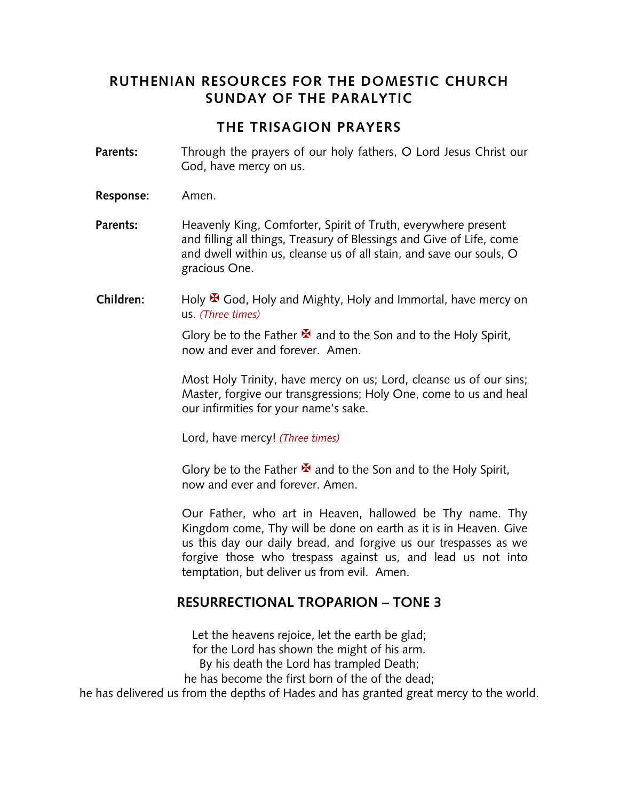## **RUTHENIAN RESOURCES FOR THE DOMESTIC CHURCH SUNDAY OF THE PARALYTIC**

## **THE TRISAGION PRAYERS**

- **Parents:** Through the prayers of our holy fathers, O Lord Jesus Christ our God, have mercy on us.
- **Response:** Amen.
- **Parents:** Heavenly King, Comforter, Spirit of Truth, everywhere present and filling all things, Treasury of Blessings and Give of Life, come and dwell within us, cleanse us of all stain, and save our souls, O gracious One.
- **Children:** Holy <sup>★</sup> God, Holy and Mighty, Holy and Immortal, have mercy on us. *(Three times)*

Glory be to the Father  $\mathbf{\Psi}$  and to the Son and to the Holy Spirit, now and ever and forever. Amen.

Most Holy Trinity, have mercy on us; Lord, cleanse us of our sins; Master, forgive our transgressions; Holy One, come to us and heal our infirmities for your name's sake.

Lord, have mercy! *(Three times)*

Glory be to the Father  $\mathbf{\Sigma}$  and to the Son and to the Holy Spirit, now and ever and forever. Amen.

Our Father, who art in Heaven, hallowed be Thy name. Thy Kingdom come, Thy will be done on earth as it is in Heaven. Give us this day our daily bread, and forgive us our trespasses as we forgive those who trespass against us, and lead us not into temptation, but deliver us from evil. Amen.

## **RESURRECTIONAL TROPARION – TONE 3**

Let the heavens rejoice, let the earth be glad; for the Lord has shown the might of his arm. By his death the Lord has trampled Death; he has become the first born of the of the dead;

he has delivered us from the depths of Hades and has granted great mercy to the world.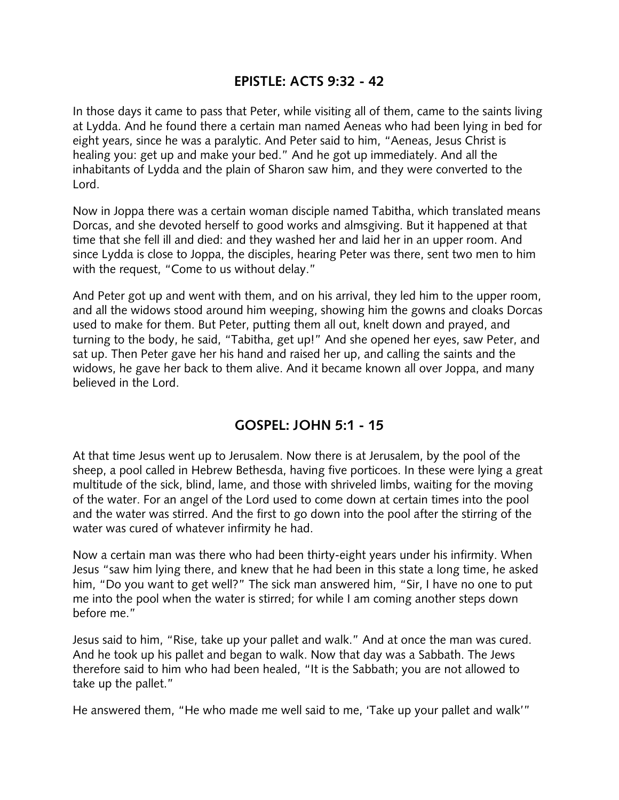## **EPISTLE: ACTS 9:32 - 42**

In those days it came to pass that Peter, while visiting all of them, came to the saints living at Lydda. And he found there a certain man named Aeneas who had been lying in bed for eight years, since he was a paralytic. And Peter said to him, "Aeneas, Jesus Christ is healing you: get up and make your bed." And he got up immediately. And all the inhabitants of Lydda and the plain of Sharon saw him, and they were converted to the Lord.

Now in Joppa there was a certain woman disciple named Tabitha, which translated means Dorcas, and she devoted herself to good works and almsgiving. But it happened at that time that she fell ill and died: and they washed her and laid her in an upper room. And since Lydda is close to Joppa, the disciples, hearing Peter was there, sent two men to him with the request, "Come to us without delay."

And Peter got up and went with them, and on his arrival, they led him to the upper room, and all the widows stood around him weeping, showing him the gowns and cloaks Dorcas used to make for them. But Peter, putting them all out, knelt down and prayed, and turning to the body, he said, "Tabitha, get up!" And she opened her eyes, saw Peter, and sat up. Then Peter gave her his hand and raised her up, and calling the saints and the widows, he gave her back to them alive. And it became known all over Joppa, and many believed in the Lord.

## **GOSPEL: JOHN 5:1 - 15**

At that time Jesus went up to Jerusalem. Now there is at Jerusalem, by the pool of the sheep, a pool called in Hebrew Bethesda, having five porticoes. In these were lying a great multitude of the sick, blind, lame, and those with shriveled limbs, waiting for the moving of the water. For an angel of the Lord used to come down at certain times into the pool and the water was stirred. And the first to go down into the pool after the stirring of the water was cured of whatever infirmity he had.

Now a certain man was there who had been thirty-eight years under his infirmity. When Jesus "saw him lying there, and knew that he had been in this state a long time, he asked him, "Do you want to get well?" The sick man answered him, "Sir, I have no one to put me into the pool when the water is stirred; for while I am coming another steps down before me."

Jesus said to him, "Rise, take up your pallet and walk." And at once the man was cured. And he took up his pallet and began to walk. Now that day was a Sabbath. The Jews therefore said to him who had been healed, "It is the Sabbath; you are not allowed to take up the pallet."

He answered them, "He who made me well said to me, 'Take up your pallet and walk'"